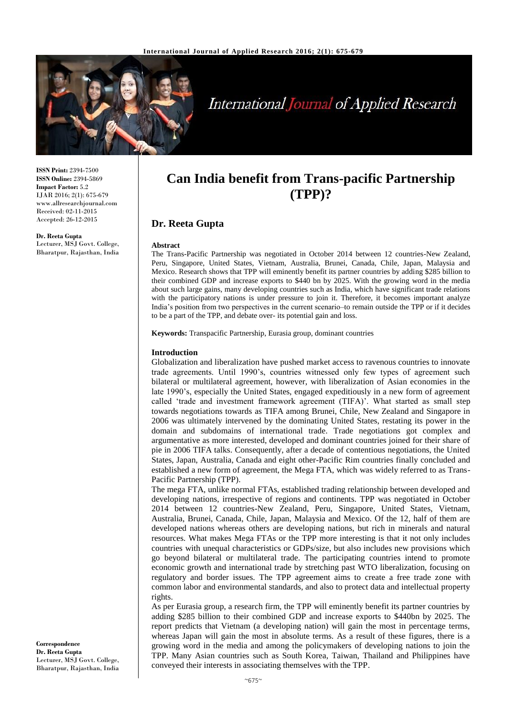

# **International Journal of Applied Research**

**ISSN Print:** 2394-7500 **ISSN Online:** 2394-5869 **Impact Factor:** 5.2 IJAR 2016; 2(1): 675-679 www.allresearchjournal.com Received: 02-11-2015 Accepted: 26-12-2015

**Dr. Reeta Gupta** Lecturer, MSJ Govt. College, Bharatpur, Rajasthan, India

## **Can India benefit from Trans-pacific Partnership (TPP)?**

### **Dr. Reeta Gupta**

#### **Abstract**

The Trans-Pacific Partnership was negotiated in October 2014 between 12 countries-New Zealand, Peru, Singapore, United States, Vietnam, Australia, Brunei, Canada, Chile, Japan, Malaysia and Mexico. Research shows that TPP will eminently benefit its partner countries by adding \$285 billion to their combined GDP and increase exports to \$440 bn by 2025. With the growing word in the media about such large gains, many developing countries such as India, which have significant trade relations with the participatory nations is under pressure to join it. Therefore, it becomes important analyze India's position from two perspectives in the current scenario–to remain outside the TPP or if it decides to be a part of the TPP, and debate over- its potential gain and loss.

**Keywords:** Transpacific Partnership, Eurasia group, dominant countries

#### **Introduction**

Globalization and liberalization have pushed market access to ravenous countries to innovate trade agreements. Until 1990's, countries witnessed only few types of agreement such bilateral or multilateral agreement, however, with liberalization of Asian economies in the late 1990's, especially the United States, engaged expeditiously in a new form of agreement called 'trade and investment framework agreement (TIFA)'. What started as small step towards negotiations towards as TIFA among Brunei, Chile, New Zealand and Singapore in 2006 was ultimately intervened by the dominating United States, restating its power in the domain and subdomains of international trade. Trade negotiations got complex and argumentative as more interested, developed and dominant countries joined for their share of pie in 2006 TIFA talks. Consequently, after a decade of contentious negotiations, the United States, Japan, Australia, Canada and eight other-Pacific Rim countries finally concluded and established a new form of agreement, the Mega FTA, which was widely referred to as Trans-Pacific Partnership (TPP).

The mega FTA, unlike normal FTAs, established trading relationship between developed and developing nations, irrespective of regions and continents. TPP was negotiated in October 2014 between 12 countries-New Zealand, Peru, Singapore, United States, Vietnam, Australia, Brunei, Canada, Chile, Japan, Malaysia and Mexico. Of the 12, half of them are developed nations whereas others are developing nations, but rich in minerals and natural resources. What makes Mega FTAs or the TPP more interesting is that it not only includes countries with unequal characteristics or GDPs/size, but also includes new provisions which go beyond bilateral or multilateral trade. The participating countries intend to promote economic growth and international trade by stretching past WTO liberalization, focusing on regulatory and border issues. The TPP agreement aims to create a free trade zone with common labor and environmental standards, and also to protect data and intellectual property rights.

As per Eurasia group, a research firm, the TPP will eminently benefit its partner countries by adding \$285 billion to their combined GDP and increase exports to \$440bn by 2025. The report predicts that Vietnam (a developing nation) will gain the most in percentage terms, whereas Japan will gain the most in absolute terms. As a result of these figures, there is a growing word in the media and among the policymakers of developing nations to join the TPP. Many Asian countries such as South Korea, Taiwan, Thailand and Philippines have conveyed their interests in associating themselves with the TPP.

**Correspondence Dr. Reeta Gupta** Lecturer, MSJ Govt. College, Bharatpur, Rajasthan, India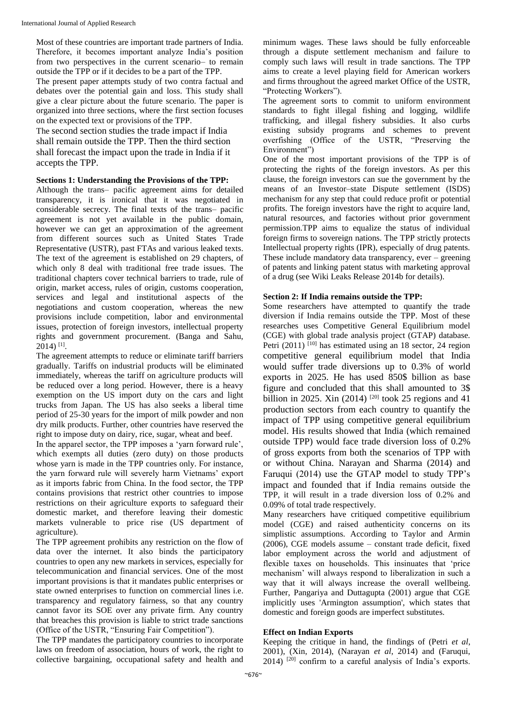Most of these countries are important trade partners of India. Therefore, it becomes important analyze India's position from two perspectives in the current scenario– to remain outside the TPP or if it decides to be a part of the TPP.

The present paper attempts study of two contra factual and debates over the potential gain and loss. This study shall give a clear picture about the future scenario. The paper is organized into three sections, where the first section focuses on the expected text or provisions of the TPP.

The second section studies the trade impact if India shall remain outside the TPP. Then the third section shall forecast the impact upon the trade in India if it accepts the TPP.

#### **Sections 1: Understanding the Provisions of the TPP:**

Although the trans– pacific agreement aims for detailed transparency, it is ironical that it was negotiated in considerable secrecy. The final texts of the trans– pacific agreement is not yet available in the public domain, however we can get an approximation of the agreement from different sources such as United States Trade Representative (USTR), past FTAs and various leaked texts. The text of the agreement is established on 29 chapters, of which only 8 deal with traditional free trade issues. The traditional chapters cover technical barriers to trade, rule of origin, market access, rules of origin, customs cooperation, services and legal and institutional aspects of the negotiations and custom cooperation, whereas the new provisions include competition, labor and environmental issues, protection of foreign investors, intellectual property rights and government procurement. (Banga and Sahu, 2014) [1] .

The agreement attempts to reduce or eliminate tariff barriers gradually. Tariffs on industrial products will be eliminated immediately, whereas the tariff on agriculture products will be reduced over a long period. However, there is a heavy exemption on the US import duty on the cars and light trucks from Japan. The US has also seeks a liberal time period of 25-30 years for the import of milk powder and non dry milk products. Further, other countries have reserved the right to impose duty on dairy, rice, sugar, wheat and beef.

In the apparel sector, the TPP imposes a 'yarn forward rule', which exempts all duties (zero duty) on those products whose yarn is made in the TPP countries only. For instance, the yarn forward rule will severely harm Vietnams' export as it imports fabric from China. In the food sector, the TPP contains provisions that restrict other countries to impose restrictions on their agriculture exports to safeguard their domestic market, and therefore leaving their domestic markets vulnerable to price rise (US department of agriculture).

The TPP agreement prohibits any restriction on the flow of data over the internet. It also binds the participatory countries to open any new markets in services, especially for telecommunication and financial services. One of the most important provisions is that it mandates public enterprises or state owned enterprises to function on commercial lines i.e. transparency and regulatory fairness, so that any country cannot favor its SOE over any private firm. Any country that breaches this provision is liable to strict trade sanctions (Office of the USTR, "Ensuring Fair Competition").

The TPP mandates the participatory countries to incorporate laws on freedom of association, hours of work, the right to collective bargaining, occupational safety and health and

minimum wages. These laws should be fully enforceable through a dispute settlement mechanism and failure to comply such laws will result in trade sanctions. The TPP aims to create a level playing field for American workers and firms throughout the agreed market Office of the USTR, "Protecting Workers").

The agreement sorts to commit to uniform environment standards to fight illegal fishing and logging, wildlife trafficking, and illegal fishery subsidies. It also curbs existing subsidy programs and schemes to prevent overfishing (Office of the USTR, "Preserving the Environment")

One of the most important provisions of the TPP is of protecting the rights of the foreign investors. As per this clause, the foreign investors can sue the government by the means of an Investor–state Dispute settlement (ISDS) mechanism for any step that could reduce profit or potential profits. The foreign investors have the right to acquire land, natural resources, and factories without prior government permission.TPP aims to equalize the status of individual foreign firms to sovereign nations. The TPP strictly protects Intellectual property rights (IPR), especially of drug patents. These include mandatory data transparency, ever – greening of patents and linking patent status with marketing approval of a drug (see Wiki Leaks Release 2014b for details).

#### **Section 2: If India remains outside the TPP:**

Some researchers have attempted to quantify the trade diversion if India remains outside the TPP. Most of these researches uses Competitive General Equilibrium model (CGE) with global trade analysis project (GTAP) database. Petri  $(2011)$ <sup>[10]</sup> has estimated using an 18 sector, 24 region competitive general equilibrium model that India would suffer trade diversions up to 0.3% of world exports in 2025. He has used 850\$ billion as base figure and concluded that this shall amounted to 3\$ billion in 2025. Xin  $(2014)$  <sup>[20]</sup> took 25 regions and 41 production sectors from each country to quantify the impact of TPP using competitive general equilibrium model. His results showed that India (which remained outside TPP) would face trade diversion loss of 0.2% of gross exports from both the scenarios of TPP with or without China. Narayan and Sharma (2014) and Faruqui (2014) use the GTAP model to study TPP's impact and founded that if India remains outside the TPP, it will result in a trade diversion loss of 0.2% and 0.09% of total trade respectively.

Many researchers have critiqued competitive equilibrium model (CGE) and raised authenticity concerns on its simplistic assumptions. According to Taylor and Armin (2006), CGE models assume – constant trade deficit, fixed labor employment across the world and adjustment of flexible taxes on households. This insinuates that 'price mechanism' will always respond to liberalization in such a way that it will always increase the overall wellbeing. Further, Pangariya and Duttagupta (2001) argue that CGE implicitly uses 'Armington assumption', which states that domestic and foreign goods are imperfect substitutes.

#### **Effect on Indian Exports**

Keeping the critique in hand, the findings of (Petri *et al*, 2001), (Xin, 2014), (Narayan *et al*, 2014) and (Faruqui, 2014) [20] confirm to a careful analysis of India's exports.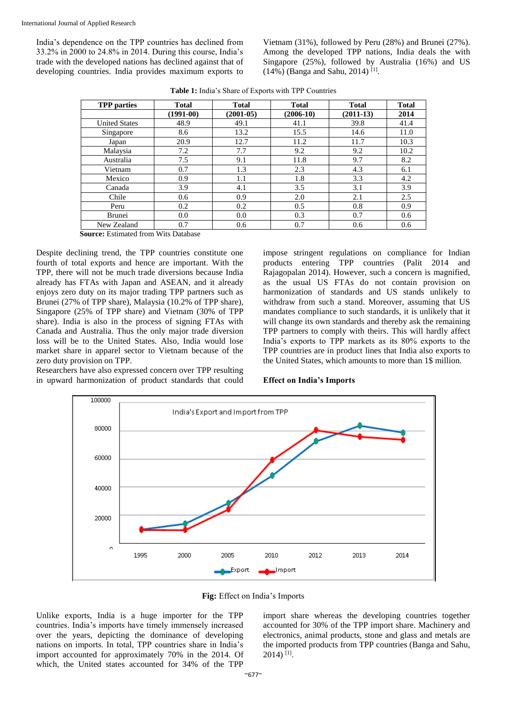India's dependence on the TPP countries has declined from 33.2% in 2000 to 24.8% in 2014. During this course, India's trade with the developed nations has declined against that of developing countries. India provides maximum exports to

Vietnam (31%), followed by Peru (28%) and Brunei (27%). Among the developed TPP nations, India deals the with Singapore (25%), followed by Australia (16%) and US  $(14%)$  (Banga and Sahu, 2014)<sup>[1]</sup>.

| <b>TPP</b> parties   | <b>Total</b> | <b>Total</b> | <b>Total</b> | <b>Total</b> | <b>Total</b> |
|----------------------|--------------|--------------|--------------|--------------|--------------|
|                      | $(1991-00)$  | $(2001-05)$  | $(2006-10)$  | $(2011-13)$  | 2014         |
| <b>United States</b> | 48.9         | 49.1         | 41.1         | 39.8         | 41.4         |
| Singapore            | 8.6          | 13.2         | 15.5         | 14.6         | 11.0         |
| Japan                | 20.9         | 12.7         | 11.2         | 11.7         | 10.3         |
| Malaysia             | 7.2          | 7.7          | 9.2          | 9.2          | 10.2         |
| Australia            | 7.5          | 9.1          | 11.8         | 9.7          | 8.2          |
| Vietnam              | 0.7          | 1.3          | 2.3          | 4.3          | 6.1          |
| Mexico               | 0.9          | 1.1          | 1.8          | 3.3          | 4.2          |
| Canada               | 3.9          | 4.1          | 3.5          | 3.1          | 3.9          |
| Chile                | 0.6          | 0.9          | 2.0          | 2.1          | 2.5          |
| Peru                 | 0.2          | 0.2          | 0.5          | 0.8          | 0.9          |
| <b>Brunei</b>        | 0.0          | 0.0          | 0.3          | 0.7          | 0.6          |
| New Zealand          | 0.7          | 0.6          | 0.7          | 0.6          | 0.6          |

**Table 1:** India's Share of Exports with TPP Countries

**Source:** Estimated from Wits Database

Despite declining trend, the TPP countries constitute one fourth of total exports and hence are important. With the TPP, there will not be much trade diversions because India already has FTAs with Japan and ASEAN, and it already enjoys zero duty on its major trading TPP partners such as Brunei (27% of TPP share), Malaysia (10.2% of TPP share), Singapore (25% of TPP share) and Vietnam (30% of TPP share). India is also in the process of signing FTAs with Canada and Australia. Thus the only major trade diversion loss will be to the United States. Also, India would lose market share in apparel sector to Vietnam because of the zero duty provision on TPP.

Researchers have also expressed concern over TPP resulting in upward harmonization of product standards that could

impose stringent regulations on compliance for Indian products entering TPP countries (Palit 2014 and Rajagopalan 2014). However, such a concern is magnified, as the usual US FTAs do not contain provision on harmonization of standards and US stands unlikely to withdraw from such a stand. Moreover, assuming that US mandates compliance to such standards, it is unlikely that it will change its own standards and thereby ask the remaining TPP partners to comply with theirs. This will hardly affect India's exports to TPP markets as its 80% exports to the TPP countries are in product lines that India also exports to the United States, which amounts to more than 1\$ million.

#### **Effect on India's Imports**



**Fig:** Effect on India's Imports

Unlike exports, India is a huge importer for the TPP countries. India's imports have timely immensely increased over the years, depicting the dominance of developing nations on imports. In total, TPP countries share in India's import accounted for approximately 70% in the 2014. Of which, the United states accounted for 34% of the TPP

import share whereas the developing countries together accounted for 30% of the TPP import share. Machinery and electronics, animal products, stone and glass and metals are the imported products from TPP countries (Banga and Sahu, 2014) [1] .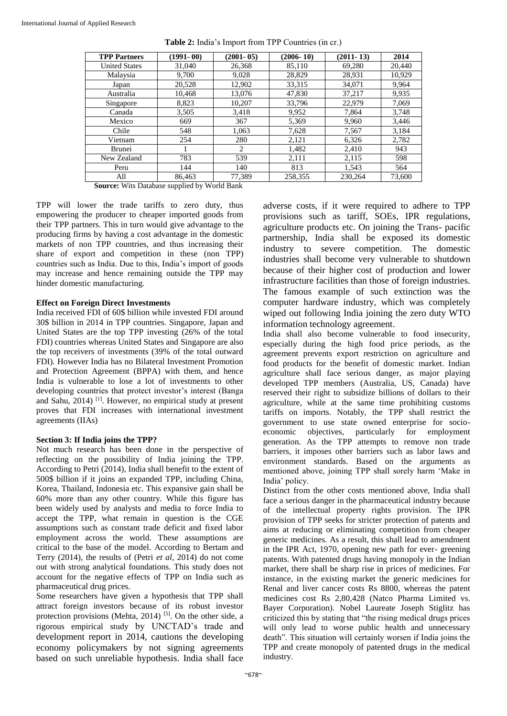| <b>TPP Partners</b>  | $(1991 - 00)$ | $(2001 - 05)$ | $(2006 - 10)$ | $(2011 - 13)$ | 2014   |
|----------------------|---------------|---------------|---------------|---------------|--------|
| <b>United States</b> | 31,040        | 26,368        | 85,110        | 69,280        | 20,440 |
| Malaysia             | 9,700         | 9,028         | 28,829        | 28,931        | 10,929 |
| Japan                | 20,528        | 12,902        | 33,315        | 34.071        | 9,964  |
| Australia            | 10,468        | 13,076        | 47,830        | 37,217        | 9,935  |
| Singapore            | 8,823         | 10,207        | 33,796        | 22,979        | 7,069  |
| Canada               | 3,505         | 3,418         | 9,952         | 7,864         | 3,748  |
| Mexico               | 669           | 367           | 5,369         | 9,960         | 3,446  |
| Chile                | 548           | 1,063         | 7,628         | 7,567         | 3,184  |
| Vietnam              | 254           | 280           | 2,121         | 6,326         | 2,782  |
| Brunei               |               | 2             | 1,482         | 2,410         | 943    |
| New Zealand          | 783           | 539           | 2,111         | 2,115         | 598    |
| Peru                 | 144           | 140           | 813           | 1,543         | 564    |
| All                  | 86.463        | 77.389        | 258,355       | 230,264       | 73,600 |

**Table 2:** India's Import from TPP Countries (in cr.)

**Source:** Wits Database supplied by World Bank

TPP will lower the trade tariffs to zero duty, thus empowering the producer to cheaper imported goods from their TPP partners. This in turn would give advantage to the producing firms by having a cost advantage in the domestic markets of non TPP countries, and thus increasing their share of export and competition in these (non TPP) countries such as India. Due to this, India's import of goods may increase and hence remaining outside the TPP may hinder domestic manufacturing.

#### **Effect on Foreign Direct Investments**

India received FDI of 60\$ billion while invested FDI around 30\$ billion in 2014 in TPP countries. Singapore, Japan and United States are the top TPP investing (26% of the total FDI) countries whereas United States and Singapore are also the top receivers of investments (39% of the total outward FDI). However India has no Bilateral Investment Promotion and Protection Agreement (BPPA) with them, and hence India is vulnerable to lose a lot of investments to other developing countries that protect investor's interest (Banga and Sahu, 2014) [1]. However, no empirical study at present proves that FDI increases with international investment agreements (IIAs)

#### **Section 3: If India joins the TPP?**

Not much research has been done in the perspective of reflecting on the possibility of India joining the TPP. According to Petri (2014), India shall benefit to the extent of 500\$ billion if it joins an expanded TPP, including China, Korea, Thailand, Indonesia etc. This expansive gain shall be 60% more than any other country. While this figure has been widely used by analysts and media to force India to accept the TPP, what remain in question is the CGE assumptions such as constant trade deficit and fixed labor employment across the world. These assumptions are critical to the base of the model. According to Bertam and Terry (2014), the results of (Petri *et al*, 2014) do not come out with strong analytical foundations. This study does not account for the negative effects of TPP on India such as pharmaceutical drug prices.

Some researchers have given a hypothesis that TPP shall attract foreign investors because of its robust investor protection provisions (Mehta, 2014)<sup>[5]</sup>. On the other side, a rigorous empirical study by UNCTAD's trade and development report in 2014, cautions the developing economy policymakers by not signing agreements based on such unreliable hypothesis. India shall face

adverse costs, if it were required to adhere to TPP provisions such as tariff, SOEs, IPR regulations, agriculture products etc. On joining the Trans- pacific partnership, India shall be exposed its domestic industry to severe competition. The domestic industries shall become very vulnerable to shutdown because of their higher cost of production and lower infrastructure facilities than those of foreign industries. The famous example of such extinction was the computer hardware industry, which was completely wiped out following India joining the zero duty WTO information technology agreement.

India shall also become vulnerable to food insecurity, especially during the high food price periods, as the agreement prevents export restriction on agriculture and food products for the benefit of domestic market. Indian agriculture shall face serious danger, as major playing developed TPP members (Australia, US, Canada) have reserved their right to subsidize billions of dollars to their agriculture, while at the same time prohibiting customs tariffs on imports. Notably, the TPP shall restrict the government to use state owned enterprise for socioeconomic objectives, particularly for employment generation. As the TPP attempts to remove non trade barriers, it imposes other barriers such as labor laws and environment standards. Based on the arguments as mentioned above, joining TPP shall sorely harm 'Make in India' policy.

Distinct from the other costs mentioned above, India shall face a serious danger in the pharmaceutical industry because of the intellectual property rights provision. The IPR provision of TPP seeks for stricter protection of patents and aims at reducing or eliminating competition from cheaper generic medicines. As a result, this shall lead to amendment in the IPR Act, 1970, opening new path for ever- greening patents. With patented drugs having monopoly in the Indian market, there shall be sharp rise in prices of medicines. For instance, in the existing market the generic medicines for Renal and liver cancer costs Rs 8800, whereas the patent medicines cost Rs 2,80,428 (Natco Pharma Limited vs. Bayer Corporation). Nobel Laureate Joseph Stiglitz has criticized this by stating that "the rising medical drugs prices will only lead to worse public health and unnecessary death". This situation will certainly worsen if India joins the TPP and create monopoly of patented drugs in the medical industry.